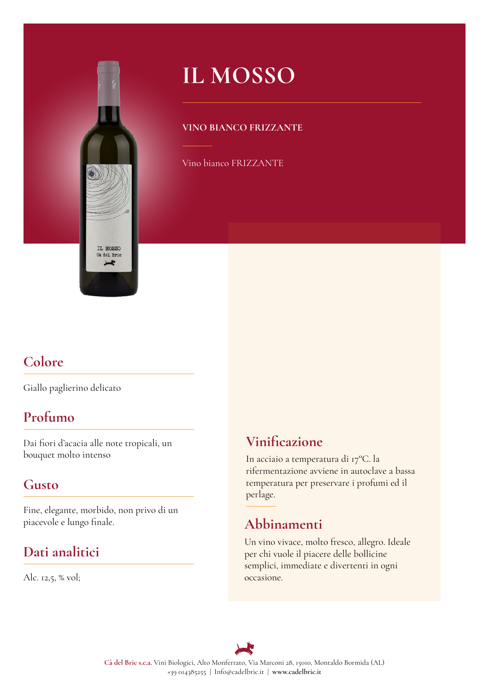

# **IL MOSSO**

#### **VINO BIANCO FRIZZANTE**

Vino bianco FRIZZANTE

## **Colore**

Giallo paglierino delicato

### **Profumo**

Dai fori d'acacia alle note tropicali, un bouquet molto intenso

### **Gusto**

Fine, elegante, morbido, non privo di un piacevole e lungo fnale.

## **Dati analitici**

Alc. 12,5, % vol;

### **Vinifcazione**

In acciaio a temperatura di 17°C. la rifermentazione avviene in autoclave a bassa temperatura per preservare i profumi ed il perlage.

## **Abbinamenti**

Un vino vivace, molto fresco, allegro. Ideale per chi vuole il piacere delle bollicine semplici, immediate e divertenti in ogni occasione.